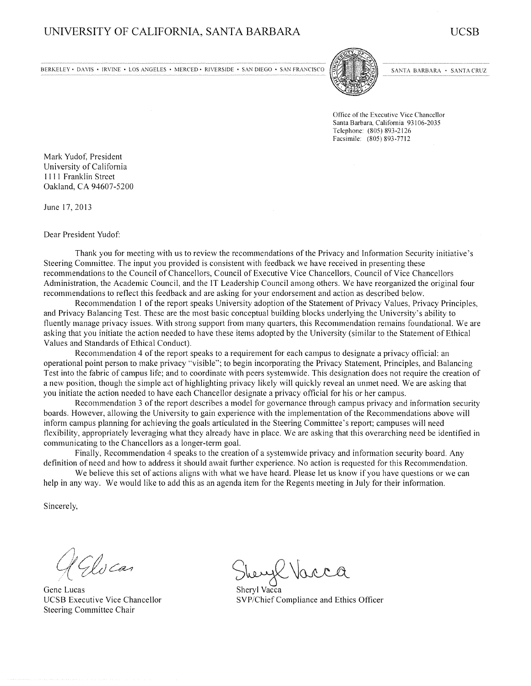BERKELEY · DAVIS · IRVINE · LOS ANGELES · MERCED · RIVERSIDE · SAN DIEGO · SAN FRANCISCO



SANTA BARBARA · SANTA CRUZ

Office of the Executive Vice Chancellor Santa Barbara, California 93106-2035 Telephone: (805) 893-2126 Facsimile: (805) 893-7712

Mark Yudof, President University of California 1111 Franklin Street Oakland, CA 94607-5200

June 17, 2013

Dear President Yudof:

Thank you for meeting with us to review the recommendations of the Privacy and Information Security initiative's Steering Committee. The input you provided is consistent with feedback we have received in presenting these recommendations to the Council of Chancellors, Council of Executive Vice Chancellors, Council of Vice Chancellors Administration, the Academic Council, and the IT Leadership Council among others. We have reorganized the original four recommendations to reflect this feedback and are asking for your endorsement and action as described below.

Recommendation 1 of the report speaks University adoption of the Statement of Privacy Values, Privacy Principles, and Privacy Balancing Test. These are the most basic conceptual building blocks underlying the University's ability to fluently manage privacy issues. With strong support from many quarters, this Recommendation remains foundational. We are asking that you initiate the action needed to have these items adopted by the University (similar to the Statement of Ethical Values and Standards of Ethical Conduct).

Recommendation 4 of the report speaks to a requirement for each campus to designate a privacy official: an operational point person to make privacy "visible"; to begin incorporating the Privacy Statement, Principles, and Balancing Test into the fabric of campus life; and to coordinate with peers systemwide. This designation does not require the creation of a new position, though the simple act of highlighting privacy likely will quickly reveal an unmet need. We are asking that you initiate the action needed to have each Chancellor designate a privacy official for his or her campus.

Recommendation 3 of the report describes a model for governance through campus privacy and information security boards. However, allowing the University to gain experience with the implementation of the Recommendations above will inform campus planning for achieving the goals articulated in the Steering Committee's report; campuses will need flexibility, appropriately leveraging what they already have in place. We are asking that this overarching need be identified in communicating to the Chancellors as a longer-term goal.

Finally, Recommendation 4 speaks to the creation of a systemwide privacy and information security board. Any definition of need and how to address it should await further experience. No action is requested for this Recommendation.

We believe this set of actions aligns with what we have heard. Please let us know if you have questions or we can help in any way. We would like to add this as an agenda item for the Regents meeting in July for their information.

Sincerely,

IX) Car

Gene Lucas **UCSB** Executive Vice Chancellor Steering Committee Chair

Shervl Vacca SVP/Chief Compliance and Ethics Officer